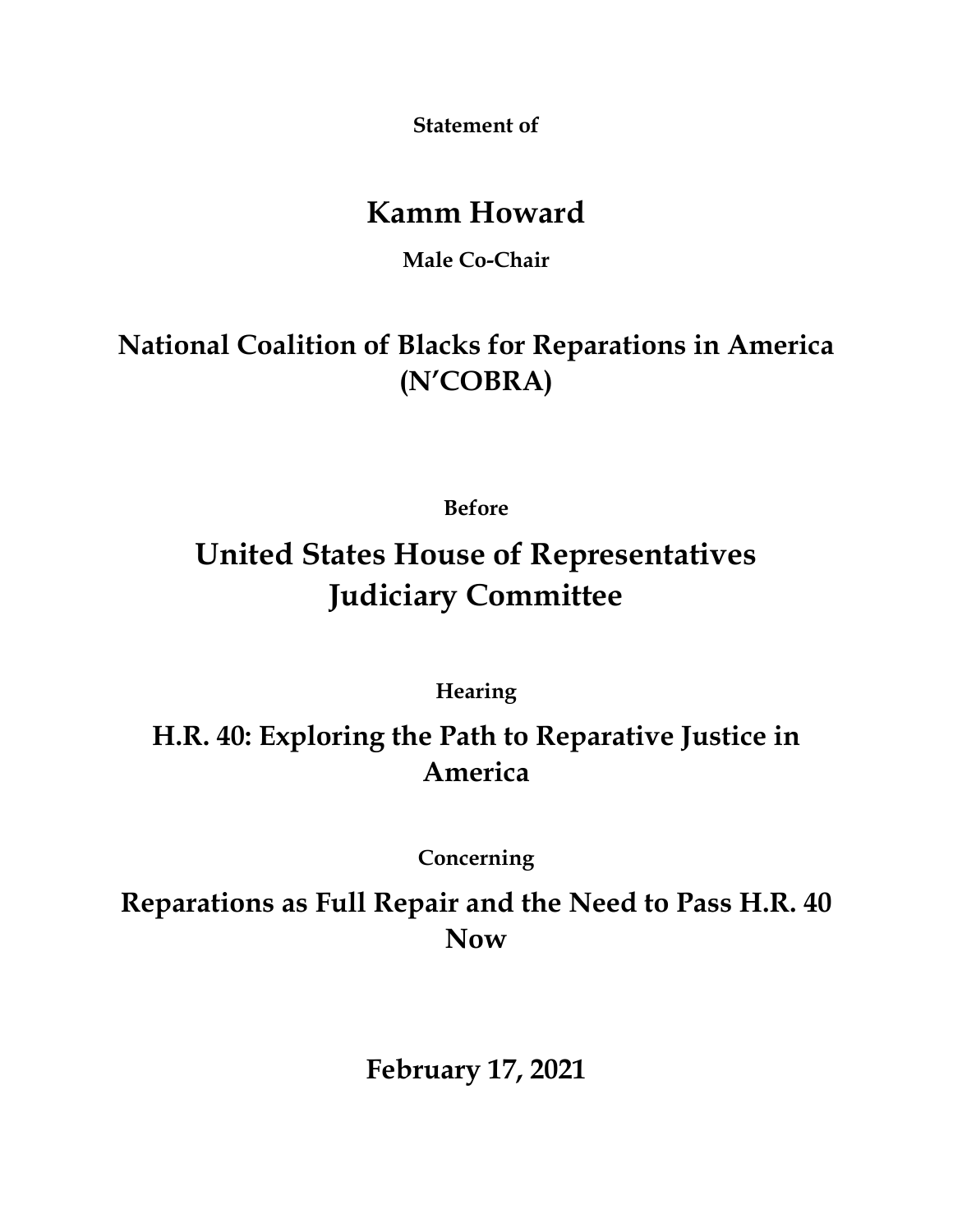**Statement of**

## **Kamm Howard**

**Male Co-Chair**

**National Coalition of Blacks for Reparations in America (N'COBRA)**

**Before**

## **United States House of Representatives Judiciary Committee**

**Hearing**

**H.R. 40: Exploring the Path to Reparative Justice in America**

**Concerning**

**Reparations as Full Repair and the Need to Pass H.R. 40 Now**

**February 17, 2021**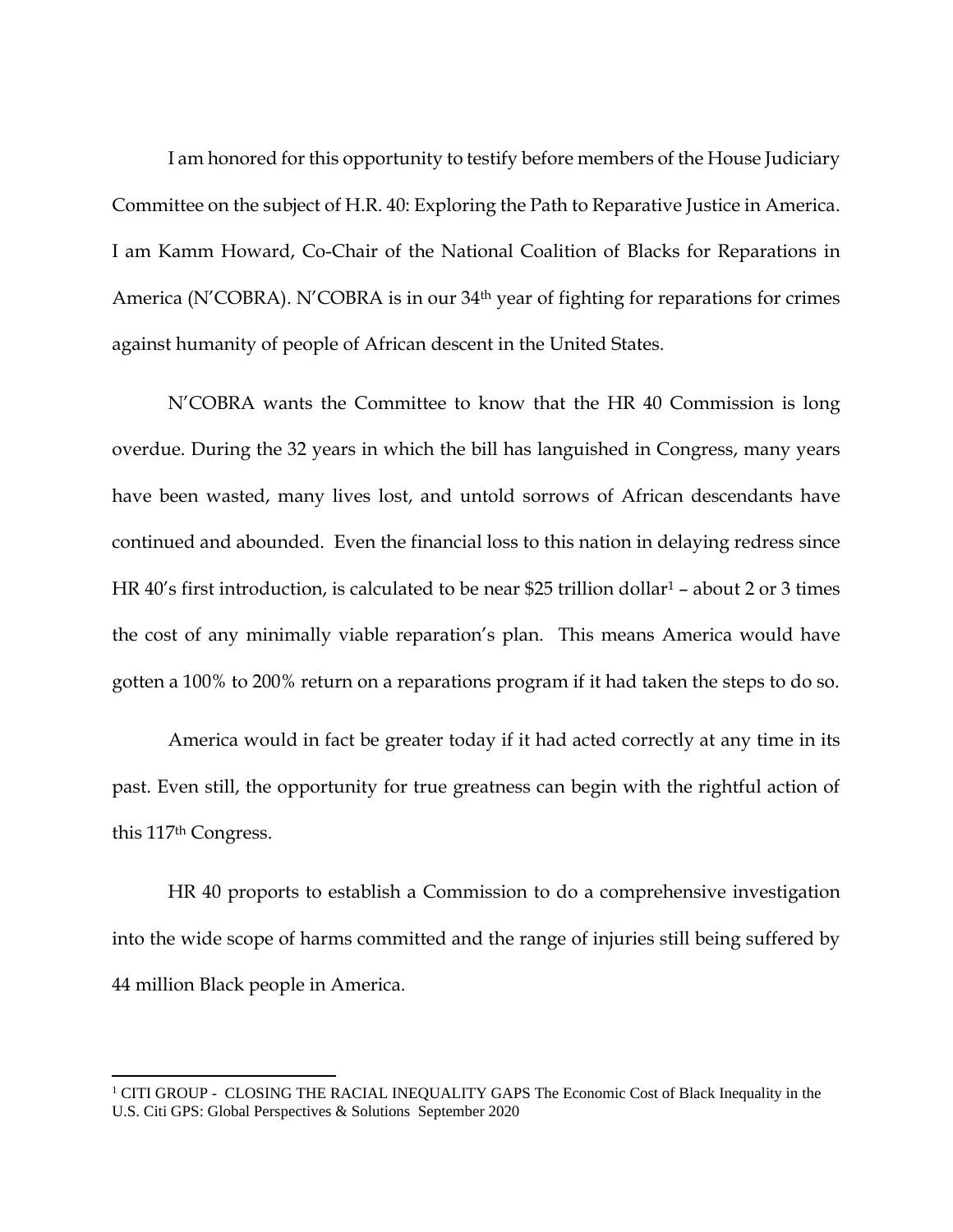I am honored for this opportunity to testify before members of the House Judiciary Committee on the subject of H.R. 40: Exploring the Path to Reparative Justice in America. I am Kamm Howard, Co-Chair of the National Coalition of Blacks for Reparations in America (N'COBRA). N'COBRA is in our 34<sup>th</sup> year of fighting for reparations for crimes against humanity of people of African descent in the United States.

N'COBRA wants the Committee to know that the HR 40 Commission is long overdue. During the 32 years in which the bill has languished in Congress, many years have been wasted, many lives lost, and untold sorrows of African descendants have continued and abounded. Even the financial loss to this nation in delaying redress since HR 40's first introduction, is calculated to be near \$25 trillion dollar<sup>1</sup> – about 2 or 3 times the cost of any minimally viable reparation's plan. This means America would have gotten a 100% to 200% return on a reparations program if it had taken the steps to do so.

America would in fact be greater today if it had acted correctly at any time in its past. Even still, the opportunity for true greatness can begin with the rightful action of this 117th Congress.

HR 40 proports to establish a Commission to do a comprehensive investigation into the wide scope of harms committed and the range of injuries still being suffered by 44 million Black people in America.

<sup>&</sup>lt;sup>1</sup> CITI GROUP - CLOSING THE RACIAL INEQUALITY GAPS The Economic Cost of Black Inequality in the U.S. Citi GPS: Global Perspectives & Solutions September 2020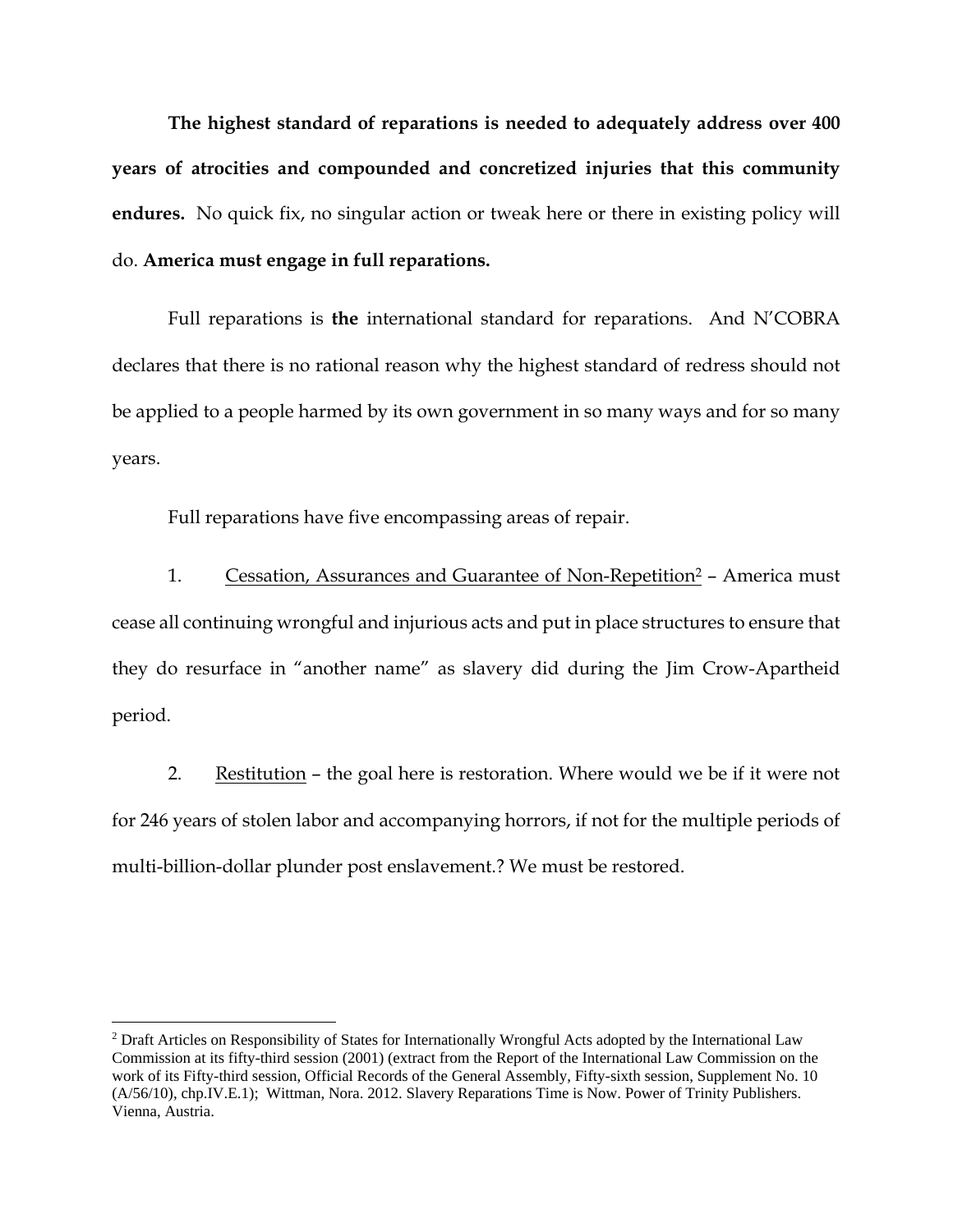**The highest standard of reparations is needed to adequately address over 400 years of atrocities and compounded and concretized injuries that this community endures.** No quick fix, no singular action or tweak here or there in existing policy will do. **America must engage in full reparations.** 

Full reparations is **the** international standard for reparations. And N'COBRA declares that there is no rational reason why the highest standard of redress should not be applied to a people harmed by its own government in so many ways and for so many years.

Full reparations have five encompassing areas of repair.

1. Cessation, Assurances and Guarantee of Non-Repetition<sup>2</sup> – America must cease all continuing wrongful and injurious acts and put in place structures to ensure that they do resurface in "another name" as slavery did during the Jim Crow-Apartheid period.

2. Restitution – the goal here is restoration. Where would we be if it were not for 246 years of stolen labor and accompanying horrors, if not for the multiple periods of multi-billion-dollar plunder post enslavement.? We must be restored.

<sup>2</sup> Draft Articles on Responsibility of States for Internationally Wrongful Acts adopted by the International Law Commission at its fifty-third session (2001) (extract from the Report of the International Law Commission on the work of its Fifty-third session, Official Records of the General Assembly, Fifty-sixth session, Supplement No. 10 (A/56/10), chp.IV.E.1); Wittman, Nora. 2012. Slavery Reparations Time is Now. Power of Trinity Publishers. Vienna, Austria.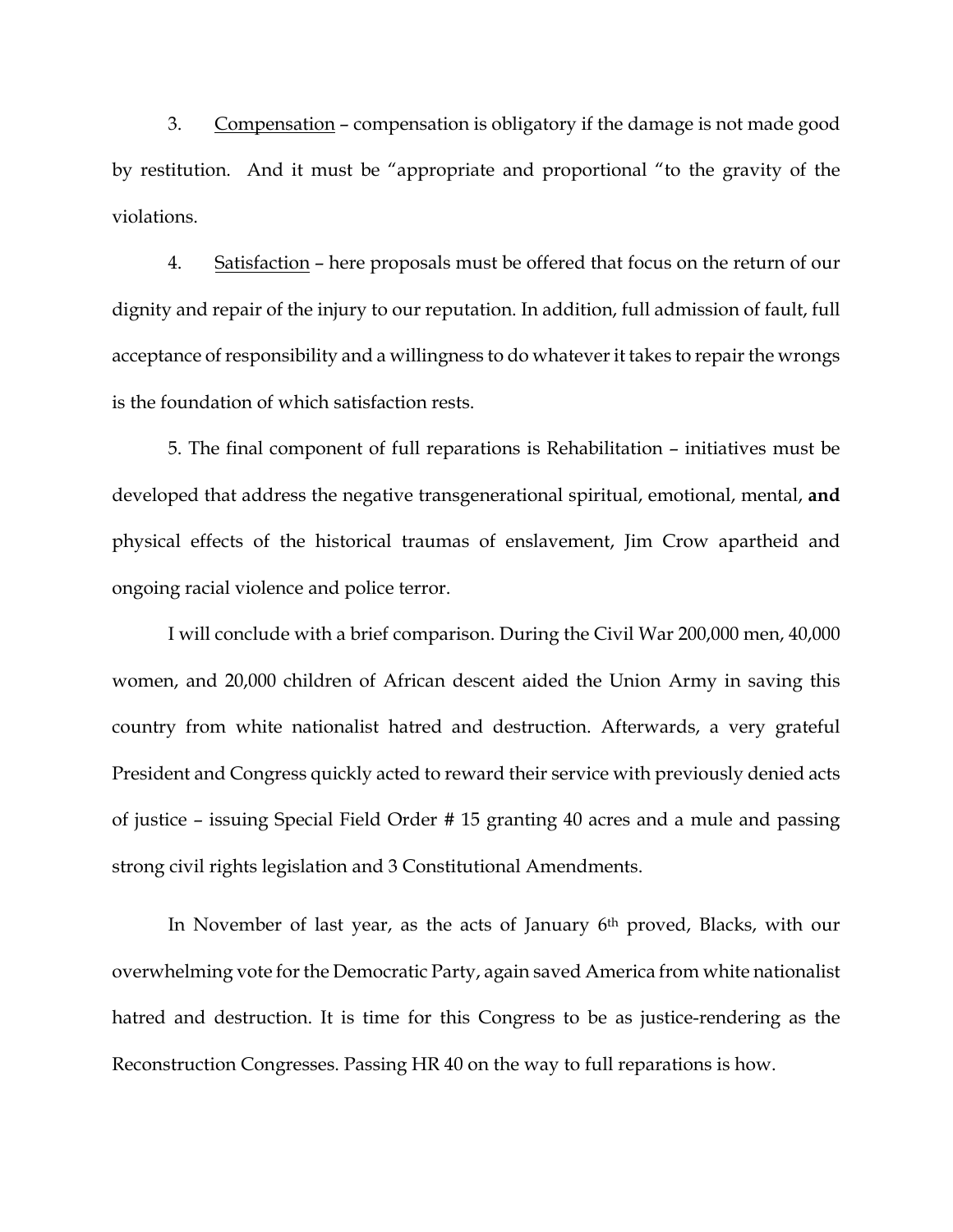3. Compensation – compensation is obligatory if the damage is not made good by restitution. And it must be "appropriate and proportional "to the gravity of the violations.

4. Satisfaction – here proposals must be offered that focus on the return of our dignity and repair of the injury to our reputation. In addition, full admission of fault, full acceptance of responsibility and a willingness to do whatever it takes to repair the wrongs is the foundation of which satisfaction rests.

5. The final component of full reparations is Rehabilitation – initiatives must be developed that address the negative transgenerational spiritual, emotional, mental, **and** physical effects of the historical traumas of enslavement, Jim Crow apartheid and ongoing racial violence and police terror.

I will conclude with a brief comparison. During the Civil War 200,000 men, 40,000 women, and 20,000 children of African descent aided the Union Army in saving this country from white nationalist hatred and destruction. Afterwards, a very grateful President and Congress quickly acted to reward their service with previously denied acts of justice – issuing Special Field Order # 15 granting 40 acres and a mule and passing strong civil rights legislation and 3 Constitutional Amendments.

In November of last year, as the acts of January 6<sup>th</sup> proved, Blacks, with our overwhelming vote for the Democratic Party, again saved America from white nationalist hatred and destruction. It is time for this Congress to be as justice-rendering as the Reconstruction Congresses. Passing HR 40 on the way to full reparations is how.